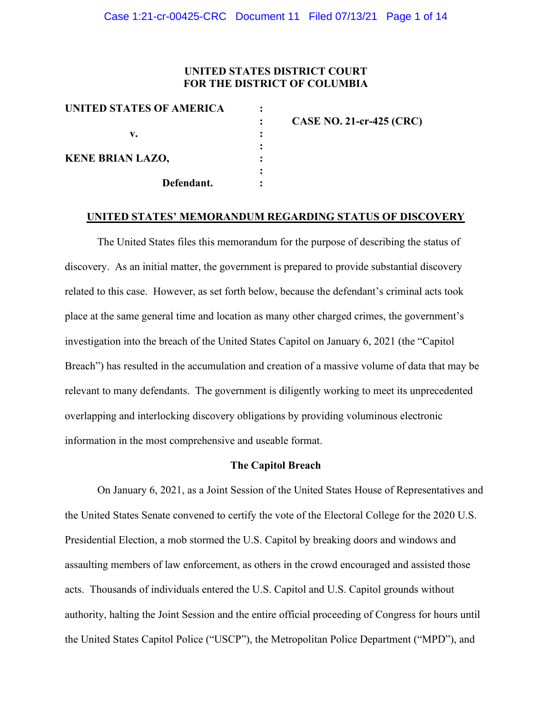# **UNITED STATES DISTRICT COURT FOR THE DISTRICT OF COLUMBIA**

| UNITED STATES OF AMERICA |                                 |
|--------------------------|---------------------------------|
|                          | <b>CASE NO. 21-cr-425 (CRC)</b> |
| v.                       |                                 |
| <b>KENE BRIAN LAZO,</b>  |                                 |
| Defendant.               |                                 |
|                          |                                 |

#### **UNITED STATES' MEMORANDUM REGARDING STATUS OF DISCOVERY**

The United States files this memorandum for the purpose of describing the status of discovery. As an initial matter, the government is prepared to provide substantial discovery related to this case. However, as set forth below, because the defendant's criminal acts took place at the same general time and location as many other charged crimes, the government's investigation into the breach of the United States Capitol on January 6, 2021 (the "Capitol Breach") has resulted in the accumulation and creation of a massive volume of data that may be relevant to many defendants. The government is diligently working to meet its unprecedented overlapping and interlocking discovery obligations by providing voluminous electronic information in the most comprehensive and useable format.

#### **The Capitol Breach**

On January 6, 2021, as a Joint Session of the United States House of Representatives and the United States Senate convened to certify the vote of the Electoral College for the 2020 U.S. Presidential Election, a mob stormed the U.S. Capitol by breaking doors and windows and assaulting members of law enforcement, as others in the crowd encouraged and assisted those acts. Thousands of individuals entered the U.S. Capitol and U.S. Capitol grounds without authority, halting the Joint Session and the entire official proceeding of Congress for hours until the United States Capitol Police ("USCP"), the Metropolitan Police Department ("MPD"), and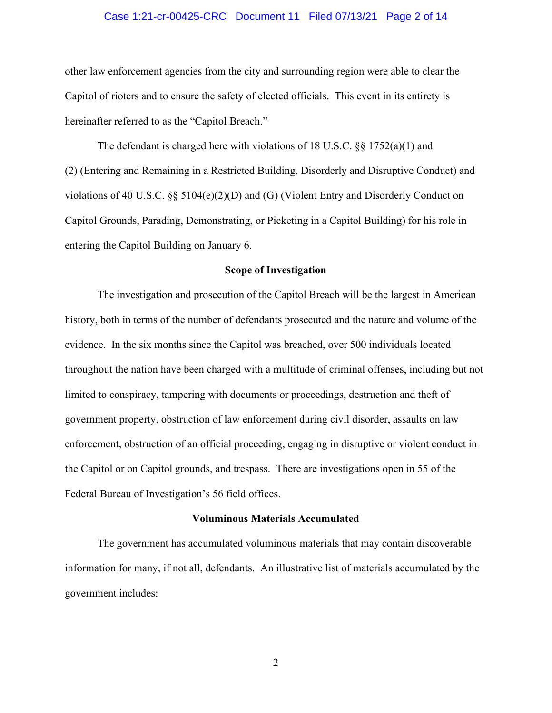### Case 1:21-cr-00425-CRC Document 11 Filed 07/13/21 Page 2 of 14

other law enforcement agencies from the city and surrounding region were able to clear the Capitol of rioters and to ensure the safety of elected officials. This event in its entirety is hereinafter referred to as the "Capitol Breach."

The defendant is charged here with violations of 18 U.S.C. §§ 1752(a)(1) and (2) (Entering and Remaining in a Restricted Building, Disorderly and Disruptive Conduct) and violations of 40 U.S.C.  $\S$  5104(e)(2)(D) and (G) (Violent Entry and Disorderly Conduct on Capitol Grounds, Parading, Demonstrating, or Picketing in a Capitol Building) for his role in entering the Capitol Building on January 6.

#### **Scope of Investigation**

The investigation and prosecution of the Capitol Breach will be the largest in American history, both in terms of the number of defendants prosecuted and the nature and volume of the evidence. In the six months since the Capitol was breached, over 500 individuals located throughout the nation have been charged with a multitude of criminal offenses, including but not limited to conspiracy, tampering with documents or proceedings, destruction and theft of government property, obstruction of law enforcement during civil disorder, assaults on law enforcement, obstruction of an official proceeding, engaging in disruptive or violent conduct in the Capitol or on Capitol grounds, and trespass. There are investigations open in 55 of the Federal Bureau of Investigation's 56 field offices.

#### **Voluminous Materials Accumulated**

The government has accumulated voluminous materials that may contain discoverable information for many, if not all, defendants. An illustrative list of materials accumulated by the government includes: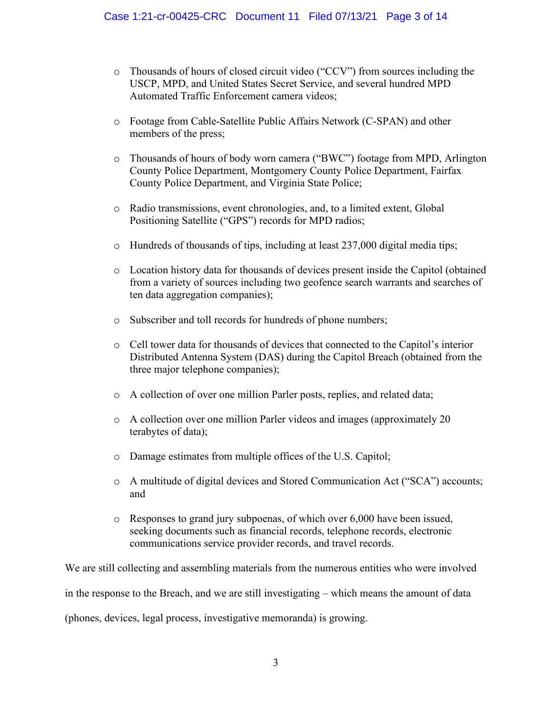- o Thousands of hours of closed circuit video ("CCV") from sources including the USCP, MPD, and United States Secret Service, and several hundred MPD Automated Traffic Enforcement camera videos;
- o Footage from Cable-Satellite Public Affairs Network (C-SPAN) and other members of the press;
- o Thousands of hours of body worn camera ("BWC") footage from MPD, Arlington County Police Department, Montgomery County Police Department, Fairfax County Police Department, and Virginia State Police;
- o Radio transmissions, event chronologies, and, to a limited extent, Global Positioning Satellite ("GPS") records for MPD radios;
- $\circ$  Hundreds of thousands of tips, including at least 237,000 digital media tips;
- o Location history data for thousands of devices present inside the Capitol (obtained from a variety of sources including two geofence search warrants and searches of ten data aggregation companies);
- o Subscriber and toll records for hundreds of phone numbers;
- o Cell tower data for thousands of devices that connected to the Capitol's interior Distributed Antenna System (DAS) during the Capitol Breach (obtained from the three major telephone companies);
- o A collection of over one million Parler posts, replies, and related data;
- o A collection over one million Parler videos and images (approximately 20 terabytes of data);
- o Damage estimates from multiple offices of the U.S. Capitol;
- o A multitude of digital devices and Stored Communication Act ("SCA") accounts; and
- o Responses to grand jury subpoenas, of which over 6,000 have been issued, seeking documents such as financial records, telephone records, electronic communications service provider records, and travel records.

We are still collecting and assembling materials from the numerous entities who were involved in the response to the Breach, and we are still investigating – which means the amount of data (phones, devices, legal process, investigative memoranda) is growing.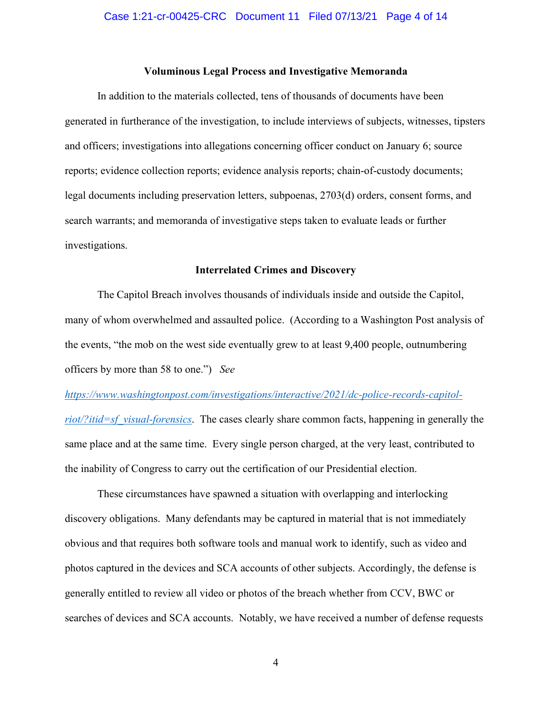### **Voluminous Legal Process and Investigative Memoranda**

In addition to the materials collected, tens of thousands of documents have been generated in furtherance of the investigation, to include interviews of subjects, witnesses, tipsters and officers; investigations into allegations concerning officer conduct on January 6; source reports; evidence collection reports; evidence analysis reports; chain-of-custody documents; legal documents including preservation letters, subpoenas, 2703(d) orders, consent forms, and search warrants; and memoranda of investigative steps taken to evaluate leads or further investigations.

#### **Interrelated Crimes and Discovery**

The Capitol Breach involves thousands of individuals inside and outside the Capitol, many of whom overwhelmed and assaulted police. (According to a Washington Post analysis of the events, "the mob on the west side eventually grew to at least 9,400 people, outnumbering officers by more than 58 to one.") *See* 

# *https://www.washingtonpost.com/investigations/interactive/2021/dc-police-records-capitol-*

*riot/?itid=sf\_visual-forensics*. The cases clearly share common facts, happening in generally the same place and at the same time. Every single person charged, at the very least, contributed to the inability of Congress to carry out the certification of our Presidential election.

These circumstances have spawned a situation with overlapping and interlocking discovery obligations. Many defendants may be captured in material that is not immediately obvious and that requires both software tools and manual work to identify, such as video and photos captured in the devices and SCA accounts of other subjects. Accordingly, the defense is generally entitled to review all video or photos of the breach whether from CCV, BWC or searches of devices and SCA accounts. Notably, we have received a number of defense requests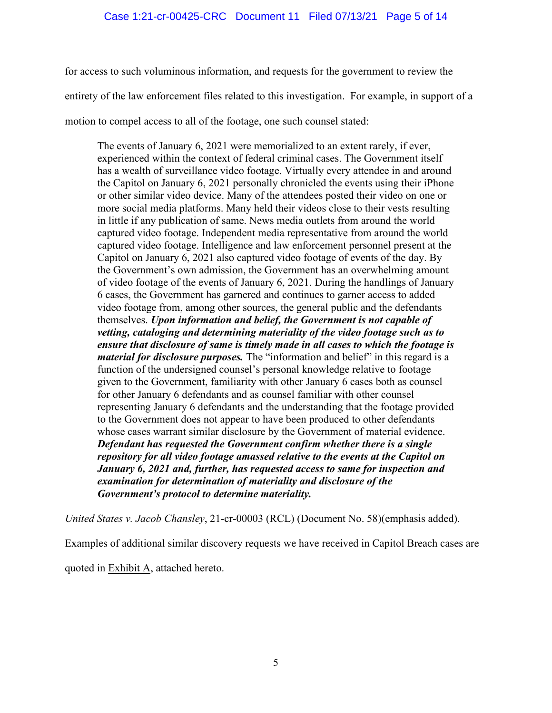for access to such voluminous information, and requests for the government to review the entirety of the law enforcement files related to this investigation. For example, in support of a motion to compel access to all of the footage, one such counsel stated:

The events of January 6, 2021 were memorialized to an extent rarely, if ever, experienced within the context of federal criminal cases. The Government itself has a wealth of surveillance video footage. Virtually every attendee in and around the Capitol on January 6, 2021 personally chronicled the events using their iPhone or other similar video device. Many of the attendees posted their video on one or more social media platforms. Many held their videos close to their vests resulting in little if any publication of same. News media outlets from around the world captured video footage. Independent media representative from around the world captured video footage. Intelligence and law enforcement personnel present at the Capitol on January 6, 2021 also captured video footage of events of the day. By the Government's own admission, the Government has an overwhelming amount of video footage of the events of January 6, 2021. During the handlings of January 6 cases, the Government has garnered and continues to garner access to added video footage from, among other sources, the general public and the defendants themselves. *Upon information and belief, the Government is not capable of vetting, cataloging and determining materiality of the video footage such as to ensure that disclosure of same is timely made in all cases to which the footage is material for disclosure purposes.* The "information and belief" in this regard is a function of the undersigned counsel's personal knowledge relative to footage given to the Government, familiarity with other January 6 cases both as counsel for other January 6 defendants and as counsel familiar with other counsel representing January 6 defendants and the understanding that the footage provided to the Government does not appear to have been produced to other defendants whose cases warrant similar disclosure by the Government of material evidence. *Defendant has requested the Government confirm whether there is a single repository for all video footage amassed relative to the events at the Capitol on January 6, 2021 and, further, has requested access to same for inspection and examination for determination of materiality and disclosure of the Government's protocol to determine materiality.*

*United States v. Jacob Chansley*, 21-cr-00003 (RCL) (Document No. 58)(emphasis added).

Examples of additional similar discovery requests we have received in Capitol Breach cases are

quoted in **Exhibit A**, attached hereto.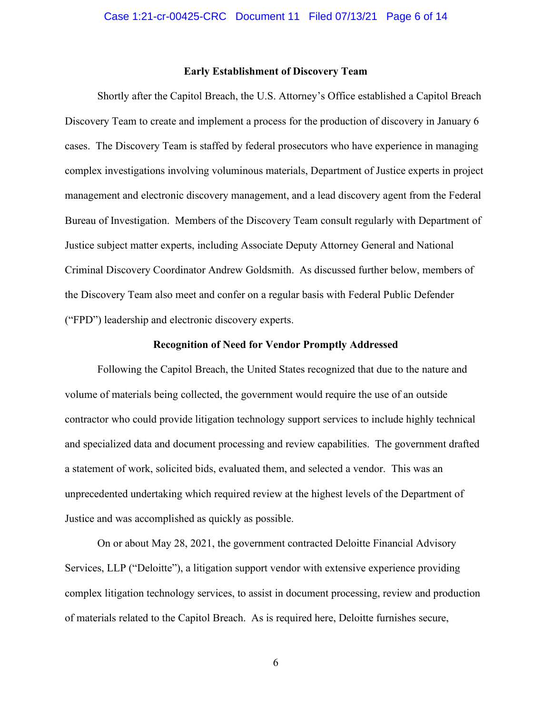# **Early Establishment of Discovery Team**

Shortly after the Capitol Breach, the U.S. Attorney's Office established a Capitol Breach Discovery Team to create and implement a process for the production of discovery in January 6 cases. The Discovery Team is staffed by federal prosecutors who have experience in managing complex investigations involving voluminous materials, Department of Justice experts in project management and electronic discovery management, and a lead discovery agent from the Federal Bureau of Investigation. Members of the Discovery Team consult regularly with Department of Justice subject matter experts, including Associate Deputy Attorney General and National Criminal Discovery Coordinator Andrew Goldsmith. As discussed further below, members of the Discovery Team also meet and confer on a regular basis with Federal Public Defender ("FPD") leadership and electronic discovery experts.

#### **Recognition of Need for Vendor Promptly Addressed**

Following the Capitol Breach, the United States recognized that due to the nature and volume of materials being collected, the government would require the use of an outside contractor who could provide litigation technology support services to include highly technical and specialized data and document processing and review capabilities. The government drafted a statement of work, solicited bids, evaluated them, and selected a vendor. This was an unprecedented undertaking which required review at the highest levels of the Department of Justice and was accomplished as quickly as possible.

On or about May 28, 2021, the government contracted Deloitte Financial Advisory Services, LLP ("Deloitte"), a litigation support vendor with extensive experience providing complex litigation technology services, to assist in document processing, review and production of materials related to the Capitol Breach. As is required here, Deloitte furnishes secure,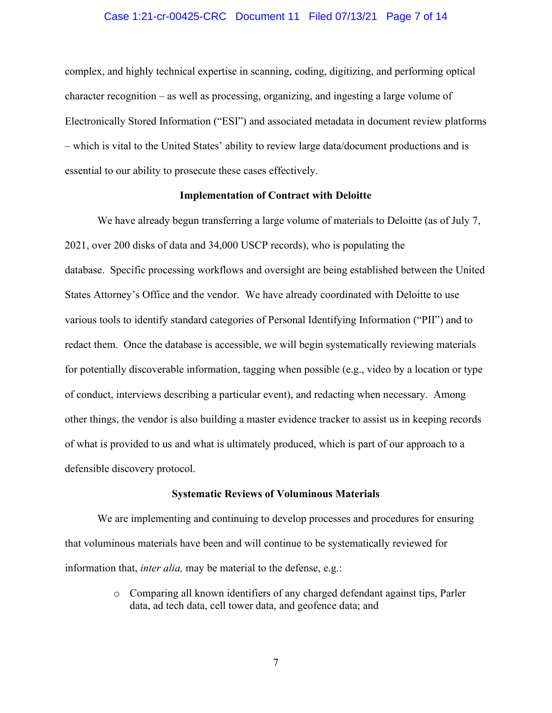#### Case 1:21-cr-00425-CRC Document 11 Filed 07/13/21 Page 7 of 14

complex, and highly technical expertise in scanning, coding, digitizing, and performing optical character recognition – as well as processing, organizing, and ingesting a large volume of Electronically Stored Information ("ESI") and associated metadata in document review platforms – which is vital to the United States' ability to review large data/document productions and is essential to our ability to prosecute these cases effectively.

#### **Implementation of Contract with Deloitte**

We have already begun transferring a large volume of materials to Deloitte (as of July 7, 2021, over 200 disks of data and 34,000 USCP records), who is populating the database. Specific processing workflows and oversight are being established between the United States Attorney's Office and the vendor. We have already coordinated with Deloitte to use various tools to identify standard categories of Personal Identifying Information ("PII") and to redact them. Once the database is accessible, we will begin systematically reviewing materials for potentially discoverable information, tagging when possible (e.g., video by a location or type of conduct, interviews describing a particular event), and redacting when necessary. Among other things, the vendor is also building a master evidence tracker to assist us in keeping records of what is provided to us and what is ultimately produced, which is part of our approach to a defensible discovery protocol.

#### **Systematic Reviews of Voluminous Materials**

We are implementing and continuing to develop processes and procedures for ensuring that voluminous materials have been and will continue to be systematically reviewed for information that, *inter alia,* may be material to the defense, e.g.:

> o Comparing all known identifiers of any charged defendant against tips, Parler data, ad tech data, cell tower data, and geofence data; and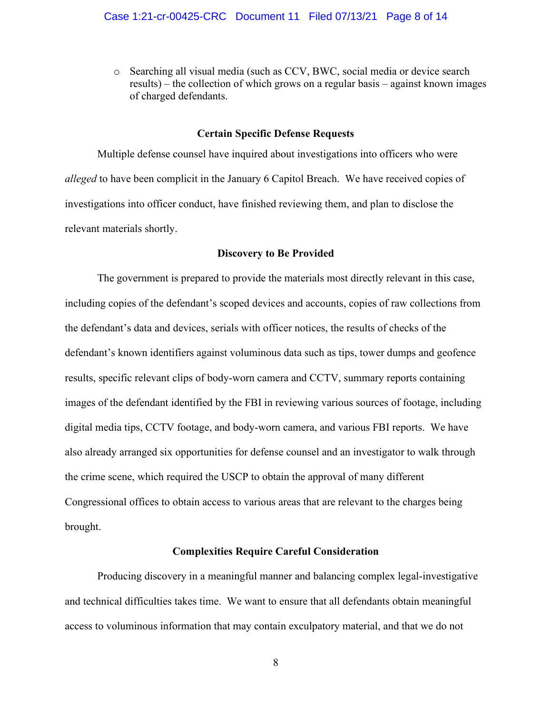o Searching all visual media (such as CCV, BWC, social media or device search results) – the collection of which grows on a regular basis – against known images of charged defendants.

## **Certain Specific Defense Requests**

Multiple defense counsel have inquired about investigations into officers who were *alleged* to have been complicit in the January 6 Capitol Breach. We have received copies of investigations into officer conduct, have finished reviewing them, and plan to disclose the relevant materials shortly.

#### **Discovery to Be Provided**

The government is prepared to provide the materials most directly relevant in this case, including copies of the defendant's scoped devices and accounts, copies of raw collections from the defendant's data and devices, serials with officer notices, the results of checks of the defendant's known identifiers against voluminous data such as tips, tower dumps and geofence results, specific relevant clips of body-worn camera and CCTV, summary reports containing images of the defendant identified by the FBI in reviewing various sources of footage, including digital media tips, CCTV footage, and body-worn camera, and various FBI reports. We have also already arranged six opportunities for defense counsel and an investigator to walk through the crime scene, which required the USCP to obtain the approval of many different Congressional offices to obtain access to various areas that are relevant to the charges being brought.

### **Complexities Require Careful Consideration**

Producing discovery in a meaningful manner and balancing complex legal-investigative and technical difficulties takes time. We want to ensure that all defendants obtain meaningful access to voluminous information that may contain exculpatory material, and that we do not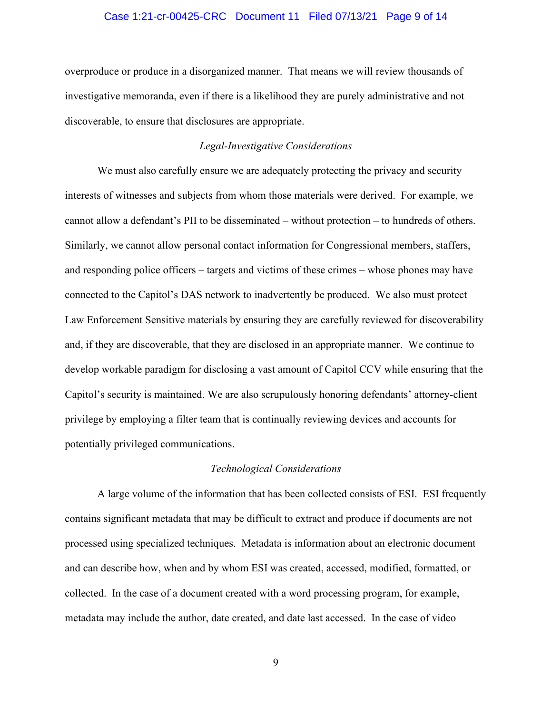### Case 1:21-cr-00425-CRC Document 11 Filed 07/13/21 Page 9 of 14

overproduce or produce in a disorganized manner. That means we will review thousands of investigative memoranda, even if there is a likelihood they are purely administrative and not discoverable, to ensure that disclosures are appropriate.

### *Legal-Investigative Considerations*

We must also carefully ensure we are adequately protecting the privacy and security interests of witnesses and subjects from whom those materials were derived. For example, we cannot allow a defendant's PII to be disseminated – without protection – to hundreds of others. Similarly, we cannot allow personal contact information for Congressional members, staffers, and responding police officers – targets and victims of these crimes – whose phones may have connected to the Capitol's DAS network to inadvertently be produced. We also must protect Law Enforcement Sensitive materials by ensuring they are carefully reviewed for discoverability and, if they are discoverable, that they are disclosed in an appropriate manner. We continue to develop workable paradigm for disclosing a vast amount of Capitol CCV while ensuring that the Capitol's security is maintained. We are also scrupulously honoring defendants' attorney-client privilege by employing a filter team that is continually reviewing devices and accounts for potentially privileged communications.

#### *Technological Considerations*

A large volume of the information that has been collected consists of ESI. ESI frequently contains significant metadata that may be difficult to extract and produce if documents are not processed using specialized techniques. Metadata is information about an electronic document and can describe how, when and by whom ESI was created, accessed, modified, formatted, or collected. In the case of a document created with a word processing program, for example, metadata may include the author, date created, and date last accessed. In the case of video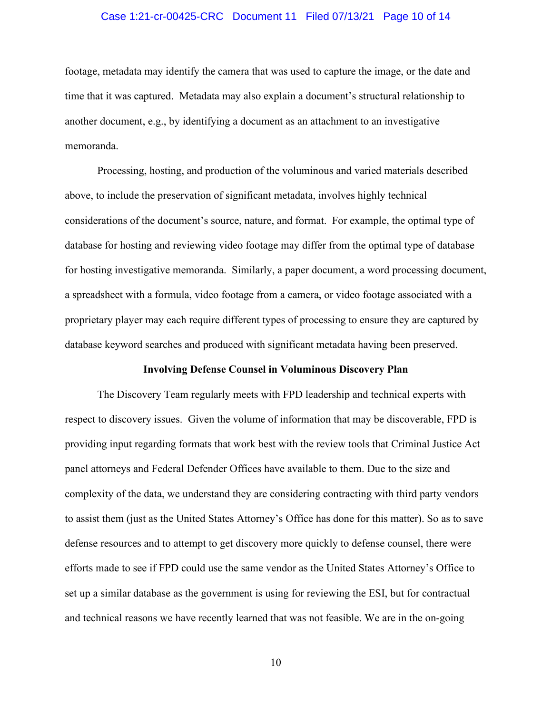### Case 1:21-cr-00425-CRC Document 11 Filed 07/13/21 Page 10 of 14

footage, metadata may identify the camera that was used to capture the image, or the date and time that it was captured. Metadata may also explain a document's structural relationship to another document, e.g., by identifying a document as an attachment to an investigative memoranda.

Processing, hosting, and production of the voluminous and varied materials described above, to include the preservation of significant metadata, involves highly technical considerations of the document's source, nature, and format. For example, the optimal type of database for hosting and reviewing video footage may differ from the optimal type of database for hosting investigative memoranda. Similarly, a paper document, a word processing document, a spreadsheet with a formula, video footage from a camera, or video footage associated with a proprietary player may each require different types of processing to ensure they are captured by database keyword searches and produced with significant metadata having been preserved.

#### **Involving Defense Counsel in Voluminous Discovery Plan**

The Discovery Team regularly meets with FPD leadership and technical experts with respect to discovery issues. Given the volume of information that may be discoverable, FPD is providing input regarding formats that work best with the review tools that Criminal Justice Act panel attorneys and Federal Defender Offices have available to them. Due to the size and complexity of the data, we understand they are considering contracting with third party vendors to assist them (just as the United States Attorney's Office has done for this matter). So as to save defense resources and to attempt to get discovery more quickly to defense counsel, there were efforts made to see if FPD could use the same vendor as the United States Attorney's Office to set up a similar database as the government is using for reviewing the ESI, but for contractual and technical reasons we have recently learned that was not feasible. We are in the on-going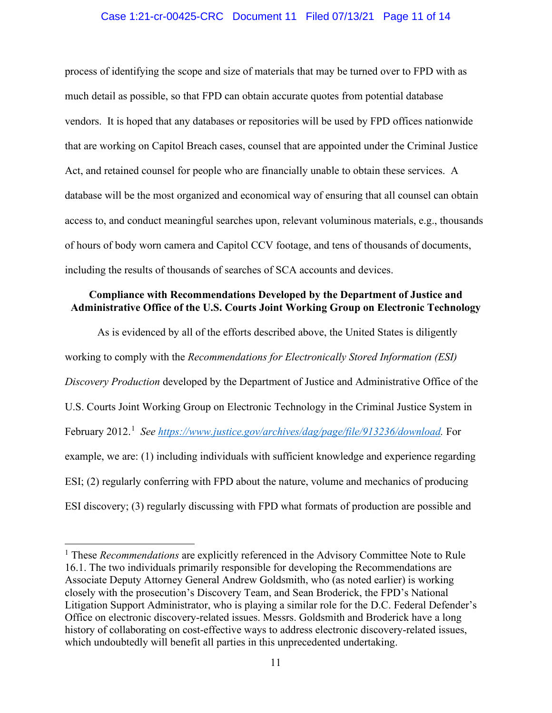### Case 1:21-cr-00425-CRC Document 11 Filed 07/13/21 Page 11 of 14

process of identifying the scope and size of materials that may be turned over to FPD with as much detail as possible, so that FPD can obtain accurate quotes from potential database vendors. It is hoped that any databases or repositories will be used by FPD offices nationwide that are working on Capitol Breach cases, counsel that are appointed under the Criminal Justice Act, and retained counsel for people who are financially unable to obtain these services. A database will be the most organized and economical way of ensuring that all counsel can obtain access to, and conduct meaningful searches upon, relevant voluminous materials, e.g., thousands of hours of body worn camera and Capitol CCV footage, and tens of thousands of documents, including the results of thousands of searches of SCA accounts and devices.

# **Compliance with Recommendations Developed by the Department of Justice and Administrative Office of the U.S. Courts Joint Working Group on Electronic Technology**

As is evidenced by all of the efforts described above, the United States is diligently working to comply with the *Recommendations for Electronically Stored Information (ESI) Discovery Production* developed by the Department of Justice and Administrative Office of the U.S. Courts Joint Working Group on Electronic Technology in the Criminal Justice System in February 2012.<sup>1</sup> See https://www.justice.gov/archives/dag/page/file/913236/download. For example, we are: (1) including individuals with sufficient knowledge and experience regarding ESI; (2) regularly conferring with FPD about the nature, volume and mechanics of producing ESI discovery; (3) regularly discussing with FPD what formats of production are possible and

<sup>&</sup>lt;sup>1</sup> These *Recommendations* are explicitly referenced in the Advisory Committee Note to Rule 16.1. The two individuals primarily responsible for developing the Recommendations are Associate Deputy Attorney General Andrew Goldsmith, who (as noted earlier) is working closely with the prosecution's Discovery Team, and Sean Broderick, the FPD's National Litigation Support Administrator, who is playing a similar role for the D.C. Federal Defender's Office on electronic discovery-related issues. Messrs. Goldsmith and Broderick have a long history of collaborating on cost-effective ways to address electronic discovery-related issues, which undoubtedly will benefit all parties in this unprecedented undertaking.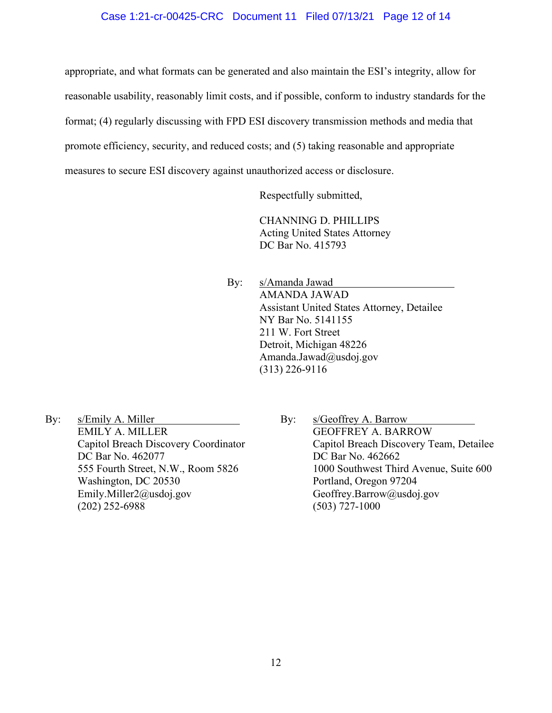### Case 1:21-cr-00425-CRC Document 11 Filed 07/13/21 Page 12 of 14

appropriate, and what formats can be generated and also maintain the ESI's integrity, allow for reasonable usability, reasonably limit costs, and if possible, conform to industry standards for the format; (4) regularly discussing with FPD ESI discovery transmission methods and media that promote efficiency, security, and reduced costs; and (5) taking reasonable and appropriate measures to secure ESI discovery against unauthorized access or disclosure.

Respectfully submitted,

CHANNING D. PHILLIPS Acting United States Attorney DC Bar No. 415793

By: s/Amanda Jawad AMANDA JAWAD Assistant United States Attorney, Detailee NY Bar No. 5141155 211 W. Fort Street Detroit, Michigan 48226 Amanda.Jawad@usdoj.gov (313) 226-9116

- By: s/Emily A. Miller EMILY A. MILLER Capitol Breach Discovery Coordinator DC Bar No. 462077 555 Fourth Street, N.W., Room 5826 Washington, DC 20530 Emily.Miller2@usdoj.gov (202) 252-6988
- By: s/Geoffrey A. Barrow GEOFFREY A. BARROW Capitol Breach Discovery Team, Detailee DC Bar No. 462662 1000 Southwest Third Avenue, Suite 600 Portland, Oregon 97204 Geoffrey.Barrow@usdoj.gov (503) 727-1000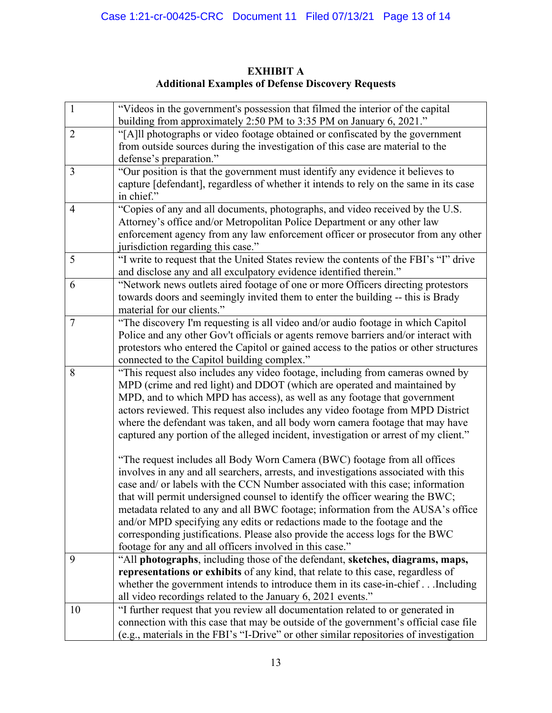| $\overline{1}$ | "Videos in the government's possession that filmed the interior of the capital                                                                                          |
|----------------|-------------------------------------------------------------------------------------------------------------------------------------------------------------------------|
| $\overline{2}$ | building from approximately 2:50 PM to 3:35 PM on January 6, 2021."<br>"[A]ll photographs or video footage obtained or confiscated by the government                    |
|                | from outside sources during the investigation of this case are material to the                                                                                          |
|                | defense's preparation."                                                                                                                                                 |
| $\overline{3}$ | "Our position is that the government must identify any evidence it believes to                                                                                          |
|                | capture [defendant], regardless of whether it intends to rely on the same in its case                                                                                   |
|                | in chief."                                                                                                                                                              |
| $\overline{4}$ | "Copies of any and all documents, photographs, and video received by the U.S.                                                                                           |
|                | Attorney's office and/or Metropolitan Police Department or any other law                                                                                                |
|                | enforcement agency from any law enforcement officer or prosecutor from any other                                                                                        |
|                | jurisdiction regarding this case."                                                                                                                                      |
| 5              | "I write to request that the United States review the contents of the FBI's "I" drive                                                                                   |
|                | and disclose any and all exculpatory evidence identified therein."                                                                                                      |
| 6              | "Network news outlets aired footage of one or more Officers directing protestors                                                                                        |
|                | towards doors and seemingly invited them to enter the building -- this is Brady                                                                                         |
|                | material for our clients."                                                                                                                                              |
| $\overline{7}$ | "The discovery I'm requesting is all video and/or audio footage in which Capitol<br>Police and any other Gov't officials or agents remove barriers and/or interact with |
|                | protestors who entered the Capitol or gained access to the patios or other structures                                                                                   |
|                | connected to the Capitol building complex."                                                                                                                             |
| 8              | "This request also includes any video footage, including from cameras owned by                                                                                          |
|                | MPD (crime and red light) and DDOT (which are operated and maintained by                                                                                                |
|                | MPD, and to which MPD has access), as well as any footage that government                                                                                               |
|                | actors reviewed. This request also includes any video footage from MPD District                                                                                         |
|                | where the defendant was taken, and all body worn camera footage that may have                                                                                           |
|                | captured any portion of the alleged incident, investigation or arrest of my client."                                                                                    |
|                | "The request includes all Body Worn Camera (BWC) footage from all offices                                                                                               |
|                | involves in any and all searchers, arrests, and investigations associated with this                                                                                     |
|                | case and/ or labels with the CCN Number associated with this case; information                                                                                          |
|                | that will permit undersigned counsel to identify the officer wearing the BWC;                                                                                           |
|                | metadata related to any and all BWC footage; information from the AUSA's office                                                                                         |
|                | and/or MPD specifying any edits or redactions made to the footage and the                                                                                               |
|                | corresponding justifications. Please also provide the access logs for the BWC                                                                                           |
|                | footage for any and all officers involved in this case."                                                                                                                |
| 9              | "All photographs, including those of the defendant, sketches, diagrams, maps,                                                                                           |
|                | representations or exhibits of any kind, that relate to this case, regardless of                                                                                        |
|                | whether the government intends to introduce them in its case-in-chiefIncluding<br>all video recordings related to the January 6, 2021 events."                          |
| 10             | "I further request that you review all documentation related to or generated in                                                                                         |
|                | connection with this case that may be outside of the government's official case file                                                                                    |
|                | (e.g., materials in the FBI's "I-Drive" or other similar repositories of investigation                                                                                  |

# **EXHIBIT A Additional Examples of Defense Discovery Requests**